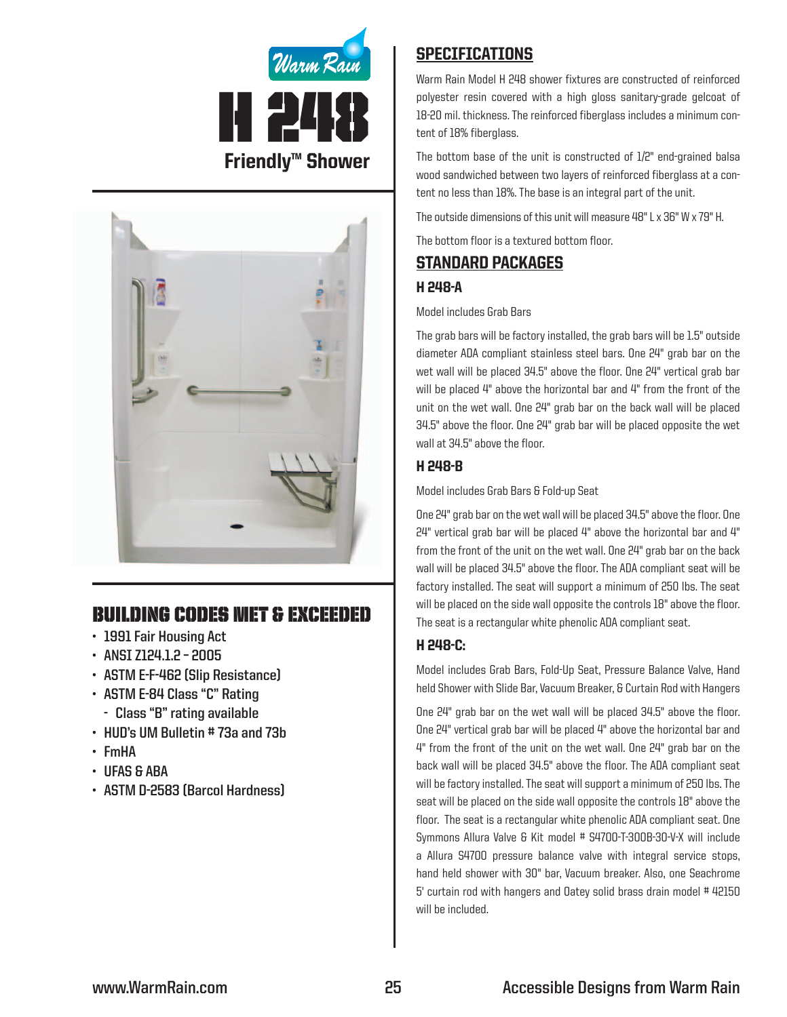



# Building Codes Met & EXCEEDED

- **• 1991 Fair Housing Act**
- **• ANSI Z124.1.2 – 2005**
- **• ASTM E-F-462 (Slip Resistance)**
- **• ASTM E-84 Class "C" Rating**
	- **- Class "B" rating available**
- **• HUD's UM Bulletin # 73a and 73b**
- **• FmHA**
- **• UFAS & ABA**
- **• ASTM D-2583 (Barcol Hardness)**

# **SPECIFICATIONS**

Warm Rain Model H 248 shower fixtures are constructed of reinforced polyester resin covered with a high gloss sanitary-grade gelcoat of 18-20 mil. thickness. The reinforced fiberglass includes a minimum content of 18% fiberglass.

The bottom base of the unit is constructed of 1/2" end-grained balsa wood sandwiched between two layers of reinforced fiberglass at a content no less than 18%. The base is an integral part of the unit.

The outside dimensions of this unit will measure 48" L x 36" W x 79" H.

The bottom floor is a textured bottom floor.

## Standard packages

## H 248-A

#### Model includes Grab Bars

The grab bars will be factory installed, the grab bars will be 1.5" outside diameter ADA compliant stainless steel bars. One 24" grab bar on the wet wall will be placed 34.5" above the floor. One 24" vertical grab bar will be placed 4" above the horizontal bar and 4" from the front of the unit on the wet wall. One 24" grab bar on the back wall will be placed 34.5" above the floor. One 24" grab bar will be placed opposite the wet wall at 34.5" above the floor.

## H 248-B

Model includes Grab Bars & Fold-up Seat

One 24" grab bar on the wet wall will be placed 34.5" above the floor. One  $24"$  vertical grab bar will be placed  $4"$  above the horizontal bar and  $4"$ from the front of the unit on the wet wall. One 24" grab bar on the back wall will be placed 34.5" above the floor. The ADA compliant seat will be factory installed. The seat will support a minimum of 250 lbs. The seat will be placed on the side wall opposite the controls 18" above the floor. The seat is a rectangular white phenolic ADA compliant seat.

## H 248-C:

Model includes Grab Bars, Fold-Up Seat, Pressure Balance Valve, Hand held Shower with Slide Bar, Vacuum Breaker, & Curtain Rod with Hangers

One 24" grab bar on the wet wall will be placed 34.5" above the floor. One 24" vertical grab bar will be placed 4" above the horizontal bar and 4" from the front of the unit on the wet wall. One 24" grab bar on the back wall will be placed 34.5" above the floor. The ADA compliant seat will be factory installed. The seat will support a minimum of 250 lbs. The seat will be placed on the side wall opposite the controls 18" above the floor. The seat is a rectangular white phenolic ADA compliant seat. One Symmons Allura Valve & Kit model # S4700-T-300B-30-V-X will include a Allura S4700 pressure balance valve with integral service stops, hand held shower with 30" bar, Vacuum breaker. Also, one Seachrome 5' curtain rod with hangers and Oatey solid brass drain model #42150 will be included.